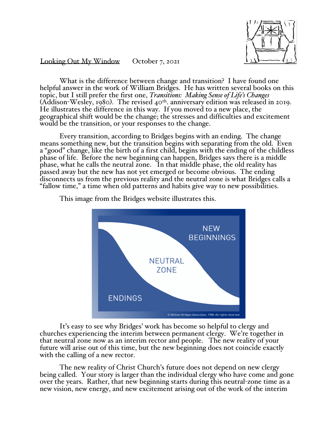

Looking Out My Window October 7, 2021

What is the difference between change and transition? I have found one helpful answer in the work of William Bridges. He has written several books on this topic, but I still prefer the first one, *Transitions: Making Sense of Life's Changes*  $(Addison-Wesley, 1980)$ . The revised 40<sup>th</sup>. anniversary edition was released in 2019. He illustrates the difference in this way. If you moved to a new place, the geographical shift would be the change; the stresses and difficulties and excitement would be the transition, or your responses to the change.

Every transition, according to Bridges begins with an ending. The change means something new, but the transition begins with separating from the old. Even a "good" change, like the birth of a first child, begins with the ending of the childless phase of life. Before the new beginning can happen, Bridges says there is a middle phase, what he calls the neutral zone. In that middle phase, the old reality has passed away but the new has not yet emerged or become obvious. The ending disconnects us from the previous reality and the neutral zone is what Bridges calls a "fallow time," a time when old patterns and habits give way to new possibilities.



This image from the Bridges website illustrates this.

It's easy to see why Bridges' work has become so helpful to clergy and churches experiencing the interim between permanent clergy. We're together in that neutral zone now as an interim rector and people. The new reality of your future will arise out of this time, but the new beginning does not coincide exactly with the calling of a new rector.

The new reality of Christ Church's future does not depend on new clergy being called. Your story is larger than the individual clergy who have come and gone over the years. Rather, that new beginning starts during this neutral-zone time as a new vision, new energy, and new excitement arising out of the work of the interim